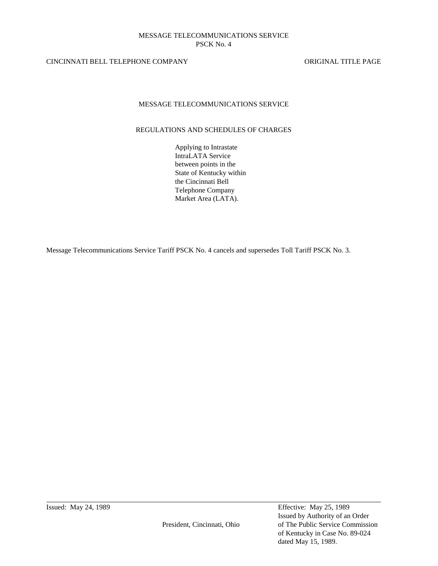# CINCINNATI BELL TELEPHONE COMPANY ORIGINAL TITLE PAGE

# MESSAGE TELECOMMUNICATIONS SERVICE

# REGULATIONS AND SCHEDULES OF CHARGES

Applying to Intrastate IntraLATA Service between points in the State of Kentucky within the Cincinnati Bell Telephone Company Market Area (LATA).

Message Telecommunications Service Tariff PSCK No. 4 cancels and supersedes Toll Tariff PSCK No. 3.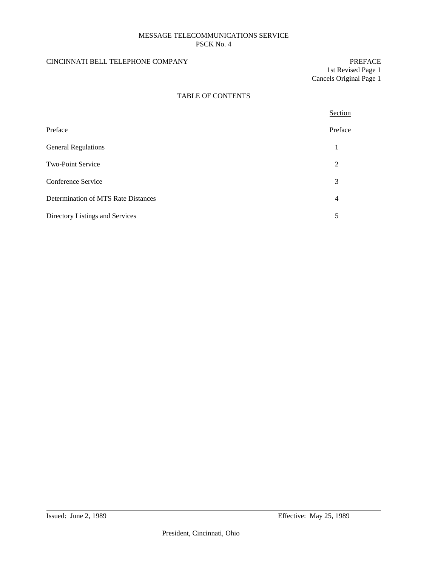# CINCINNATI BELL TELEPHONE COMPANY PREFACE

1st Revised Page 1 Cancels Original Page 1

# TABLE OF CONTENTS

|                                     | Section        |
|-------------------------------------|----------------|
| Preface                             | Preface        |
| <b>General Regulations</b>          | 1              |
| Two-Point Service                   | 2              |
| Conference Service                  | 3              |
| Determination of MTS Rate Distances | $\overline{4}$ |
| Directory Listings and Services     | 5              |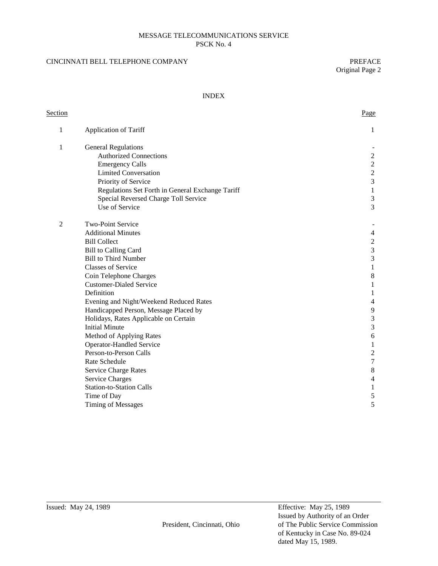# CINCINNATI BELL TELEPHONE COMPANY PREFACE

Original Page 2

#### INDEX

| <b>Section</b> |                                                  | Page                    |
|----------------|--------------------------------------------------|-------------------------|
| 1              | Application of Tariff                            | 1                       |
| 1              | <b>General Regulations</b>                       |                         |
|                | <b>Authorized Connections</b>                    | $\overline{c}$          |
|                | <b>Emergency Calls</b>                           | $\overline{c}$          |
|                | <b>Limited Conversation</b>                      | $\frac{2}{3}$           |
|                | Priority of Service                              |                         |
|                | Regulations Set Forth in General Exchange Tariff | $\,1$                   |
|                | Special Reversed Charge Toll Service             | $\mathfrak 3$           |
|                | Use of Service                                   | $\overline{3}$          |
| $\overline{2}$ | Two-Point Service                                |                         |
|                | <b>Additional Minutes</b>                        | $\overline{4}$          |
|                | <b>Bill Collect</b>                              |                         |
|                | <b>Bill to Calling Card</b>                      | $\frac{2}{3}$           |
|                | <b>Bill to Third Number</b>                      | $\overline{3}$          |
|                | <b>Classes of Service</b>                        | $\mathbf{1}$            |
|                | Coin Telephone Charges                           | $\,8\,$                 |
|                | <b>Customer-Dialed Service</b>                   | 1                       |
|                | Definition                                       | 1                       |
|                | Evening and Night/Weekend Reduced Rates          | 4                       |
|                | Handicapped Person, Message Placed by            | 9                       |
|                | Holidays, Rates Applicable on Certain            | 3                       |
|                | <b>Initial Minute</b>                            | $\mathfrak{Z}$          |
|                | Method of Applying Rates                         | $\epsilon$              |
|                | <b>Operator-Handled Service</b>                  | $\mathbf{1}$            |
|                | Person-to-Person Calls                           | $\boldsymbol{2}$        |
|                | Rate Schedule                                    | $\boldsymbol{7}$        |
|                | <b>Service Charge Rates</b>                      | $\,8\,$                 |
|                | <b>Service Charges</b>                           | $\overline{\mathbf{4}}$ |
|                | <b>Station-to-Station Calls</b>                  | $\mathbf{1}$            |
|                | Time of Day                                      | 5                       |
|                | <b>Timing of Messages</b>                        | 5                       |

Issued by Authority of an Order President, Cincinnati, Ohio of The Public Service Commission of Kentucky in Case No. 89-024 dated May 15, 1989.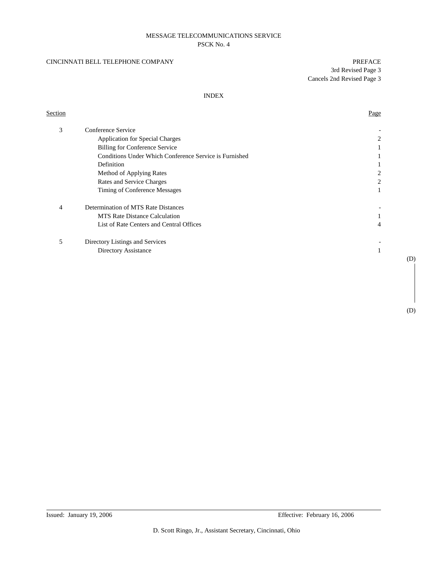#### CINCINNATI BELL TELEPHONE COMPANY PREFACE

#### INDEX

# **Section** Page

| 3 | Conference Service                                     |   |
|---|--------------------------------------------------------|---|
|   | <b>Application for Special Charges</b>                 | 2 |
|   | Billing for Conference Service                         |   |
|   | Conditions Under Which Conference Service is Furnished |   |
|   | Definition                                             |   |
|   | Method of Applying Rates                               |   |
|   | Rates and Service Charges                              |   |
|   | Timing of Conference Messages                          |   |
| 4 | Determination of MTS Rate Distances                    |   |
|   | <b>MTS</b> Rate Distance Calculation                   |   |
|   | List of Rate Centers and Central Offices               | 4 |
| 5 | Directory Listings and Services                        |   |
|   | Directory Assistance                                   |   |
|   |                                                        |   |

(D)

(D)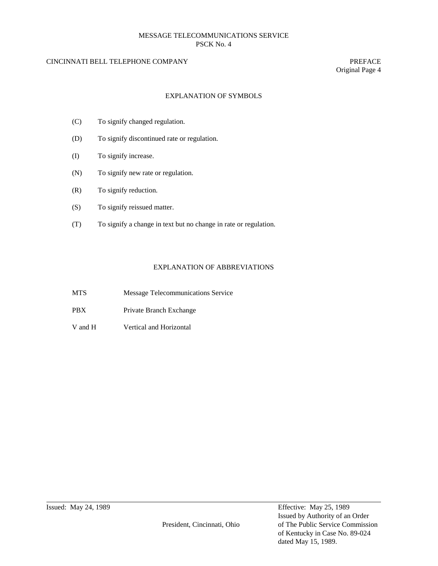# CINCINNATI BELL TELEPHONE COMPANY PREFACE

Original Page 4

# EXPLANATION OF SYMBOLS

- (C) To signify changed regulation.
- (D) To signify discontinued rate or regulation.
- (I) To signify increase.
- (N) To signify new rate or regulation.
- (R) To signify reduction.
- (S) To signify reissued matter.
- (T) To signify a change in text but no change in rate or regulation.

# EXPLANATION OF ABBREVIATIONS

- MTS Message Telecommunications Service
- PBX Private Branch Exchange
- V and H Vertical and Horizontal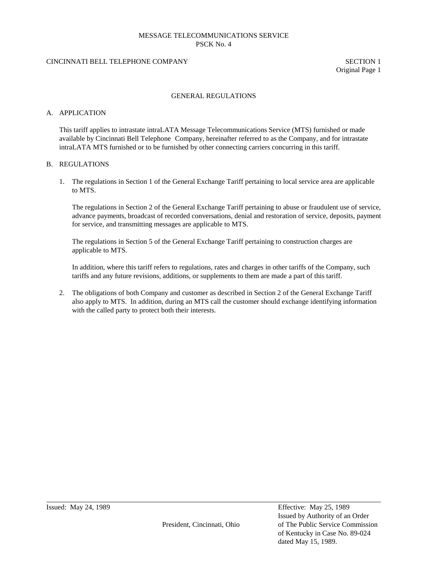# CINCINNATI BELL TELEPHONE COMPANY SECTION 1

Original Page 1

#### GENERAL REGULATIONS

#### A. APPLICATION

This tariff applies to intrastate intraLATA Message Telecommunications Service (MTS) furnished or made available by Cincinnati Bell Telephone Company, hereinafter referred to as the Company, and for intrastate intraLATA MTS furnished or to be furnished by other connecting carriers concurring in this tariff.

#### B. REGULATIONS

1. The regulations in Section 1 of the General Exchange Tariff pertaining to local service area are applicable to MTS.

The regulations in Section 2 of the General Exchange Tariff pertaining to abuse or fraudulent use of service, advance payments, broadcast of recorded conversations, denial and restoration of service, deposits, payment for service, and transmitting messages are applicable to MTS.

The regulations in Section 5 of the General Exchange Tariff pertaining to construction charges are applicable to MTS.

In addition, where this tariff refers to regulations, rates and charges in other tariffs of the Company, such tariffs and any future revisions, additions, or supplements to them are made a part of this tariff.

2. The obligations of both Company and customer as described in Section 2 of the General Exchange Tariff also apply to MTS. In addition, during an MTS call the customer should exchange identifying information with the called party to protect both their interests.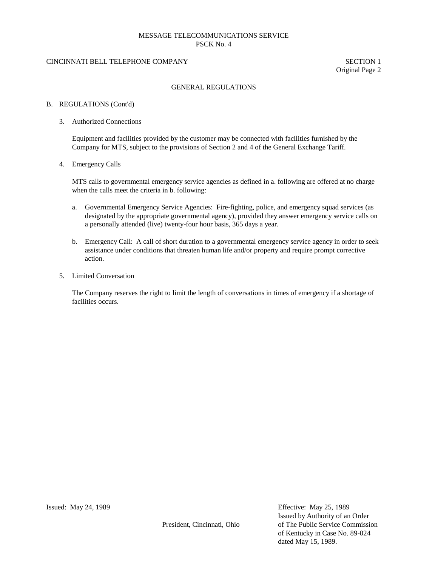#### CINCINNATI BELL TELEPHONE COMPANY SECTION 1

Original Page 2

#### GENERAL REGULATIONS

#### B. REGULATIONS (Cont'd)

#### 3. Authorized Connections

Equipment and facilities provided by the customer may be connected with facilities furnished by the Company for MTS, subject to the provisions of Section 2 and 4 of the General Exchange Tariff.

#### 4. Emergency Calls

MTS calls to governmental emergency service agencies as defined in a. following are offered at no charge when the calls meet the criteria in b. following:

- a. Governmental Emergency Service Agencies: Fire-fighting, police, and emergency squad services (as designated by the appropriate governmental agency), provided they answer emergency service calls on a personally attended (live) twenty-four hour basis, 365 days a year.
- b. Emergency Call: A call of short duration to a governmental emergency service agency in order to seek assistance under conditions that threaten human life and/or property and require prompt corrective action.
- 5. Limited Conversation

The Company reserves the right to limit the length of conversations in times of emergency if a shortage of facilities occurs.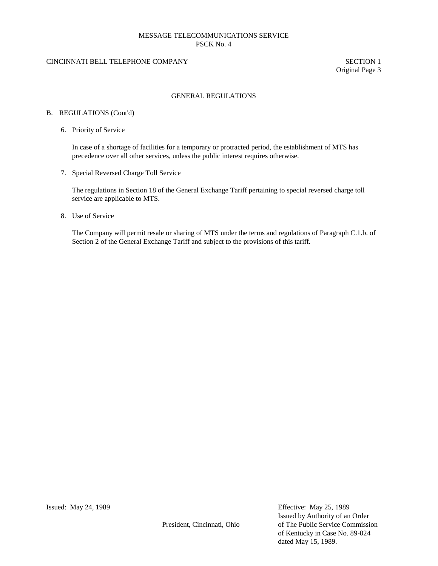# CINCINNATI BELL TELEPHONE COMPANY SECTION 1

Original Page 3

# GENERAL REGULATIONS

#### B. REGULATIONS (Cont'd)

6. Priority of Service

In case of a shortage of facilities for a temporary or protracted period, the establishment of MTS has precedence over all other services, unless the public interest requires otherwise.

7. Special Reversed Charge Toll Service

The regulations in Section 18 of the General Exchange Tariff pertaining to special reversed charge toll service are applicable to MTS.

8. Use of Service

The Company will permit resale or sharing of MTS under the terms and regulations of Paragraph C.1.b. of Section 2 of the General Exchange Tariff and subject to the provisions of this tariff.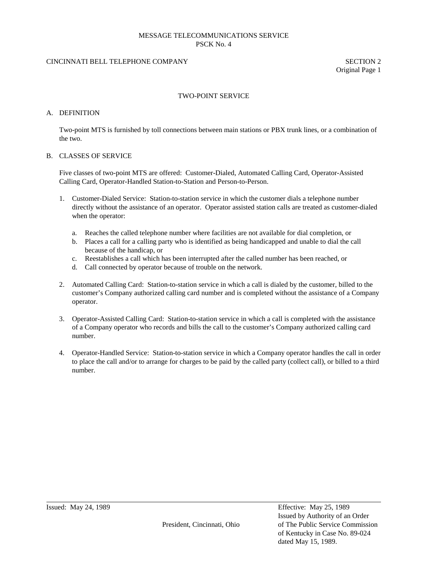# CINCINNATI BELL TELEPHONE COMPANY SECTION 2

Original Page 1

#### TWO-POINT SERVICE

#### A. DEFINITION

Two-point MTS is furnished by toll connections between main stations or PBX trunk lines, or a combination of the two.

#### B. CLASSES OF SERVICE

Five classes of two-point MTS are offered: Customer-Dialed, Automated Calling Card, Operator-Assisted Calling Card, Operator-Handled Station-to-Station and Person-to-Person.

- 1. Customer-Dialed Service: Station-to-station service in which the customer dials a telephone number directly without the assistance of an operator. Operator assisted station calls are treated as customer-dialed when the operator:
	- a. Reaches the called telephone number where facilities are not available for dial completion, or
	- b. Places a call for a calling party who is identified as being handicapped and unable to dial the call because of the handicap, or
	- c. Reestablishes a call which has been interrupted after the called number has been reached, or
	- d. Call connected by operator because of trouble on the network.
- 2. Automated Calling Card: Station-to-station service in which a call is dialed by the customer, billed to the customer's Company authorized calling card number and is completed without the assistance of a Company operator.
- 3. Operator-Assisted Calling Card: Station-to-station service in which a call is completed with the assistance of a Company operator who records and bills the call to the customer's Company authorized calling card number.
- 4. Operator-Handled Service: Station-to-station service in which a Company operator handles the call in order to place the call and/or to arrange for charges to be paid by the called party (collect call), or billed to a third number.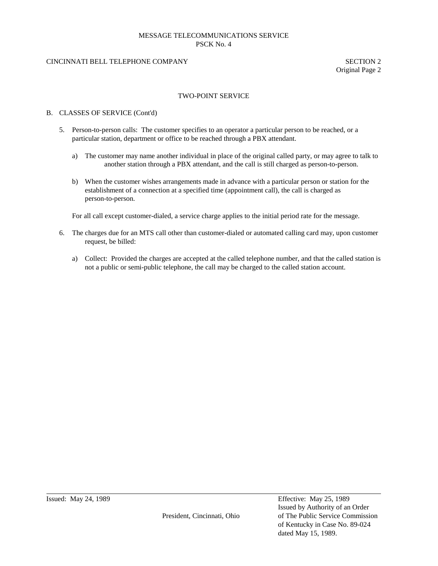# CINCINNATI BELL TELEPHONE COMPANY SECTION 2

Original Page 2

#### TWO-POINT SERVICE

#### B. CLASSES OF SERVICE (Cont'd)

- 5. Person-to-person calls: The customer specifies to an operator a particular person to be reached, or a particular station, department or office to be reached through a PBX attendant.
	- a) The customer may name another individual in place of the original called party, or may agree to talk to another station through a PBX attendant, and the call is still charged as person-to-person.
	- b) When the customer wishes arrangements made in advance with a particular person or station for the establishment of a connection at a specified time (appointment call), the call is charged as person-to-person.

For all call except customer-dialed, a service charge applies to the initial period rate for the message.

- 6. The charges due for an MTS call other than customer-dialed or automated calling card may, upon customer request, be billed:
	- a) Collect: Provided the charges are accepted at the called telephone number, and that the called station is not a public or semi-public telephone, the call may be charged to the called station account.

Issued by Authority of an Order President, Cincinnati, Ohio of The Public Service Commission of Kentucky in Case No. 89-024 dated May 15, 1989.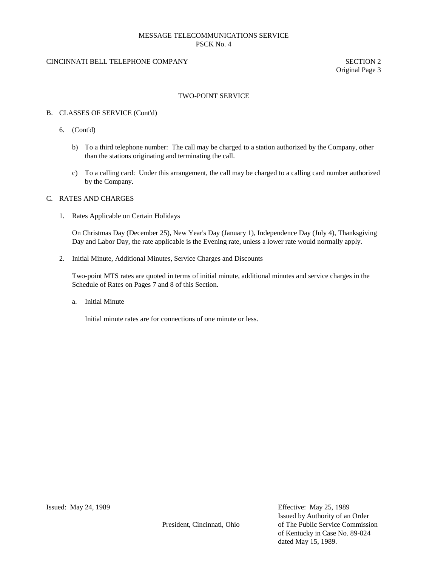# CINCINNATI BELL TELEPHONE COMPANY SECTION 2

Original Page 3

#### TWO-POINT SERVICE

#### B. CLASSES OF SERVICE (Cont'd)

- 6. (Cont'd)
	- b) To a third telephone number: The call may be charged to a station authorized by the Company, other than the stations originating and terminating the call.
	- c) To a calling card: Under this arrangement, the call may be charged to a calling card number authorized by the Company.

#### C. RATES AND CHARGES

1. Rates Applicable on Certain Holidays

On Christmas Day (December 25), New Year's Day (January 1), Independence Day (July 4), Thanksgiving Day and Labor Day, the rate applicable is the Evening rate, unless a lower rate would normally apply.

2. Initial Minute, Additional Minutes, Service Charges and Discounts

Two-point MTS rates are quoted in terms of initial minute, additional minutes and service charges in the Schedule of Rates on Pages 7 and 8 of this Section.

a. Initial Minute

Initial minute rates are for connections of one minute or less.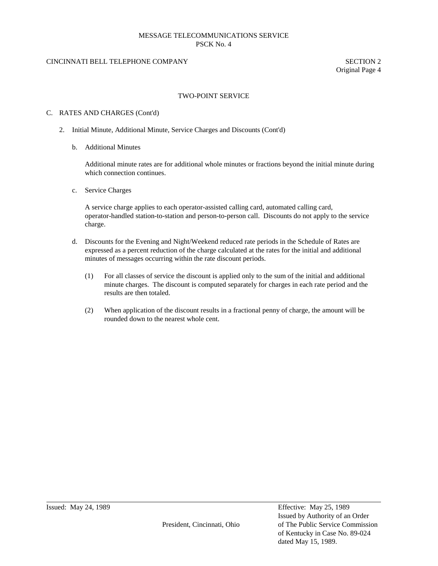# CINCINNATI BELL TELEPHONE COMPANY SECTION 2

Original Page 4

#### TWO-POINT SERVICE

#### C. RATES AND CHARGES (Cont'd)

- 2. Initial Minute, Additional Minute, Service Charges and Discounts (Cont'd)
	- b. Additional Minutes

Additional minute rates are for additional whole minutes or fractions beyond the initial minute during which connection continues.

c. Service Charges

A service charge applies to each operator-assisted calling card, automated calling card, operator-handled station-to-station and person-to-person call. Discounts do not apply to the service charge.

- d. Discounts for the Evening and Night/Weekend reduced rate periods in the Schedule of Rates are expressed as a percent reduction of the charge calculated at the rates for the initial and additional minutes of messages occurring within the rate discount periods.
	- (1) For all classes of service the discount is applied only to the sum of the initial and additional minute charges. The discount is computed separately for charges in each rate period and the results are then totaled.
	- (2) When application of the discount results in a fractional penny of charge, the amount will be rounded down to the nearest whole cent.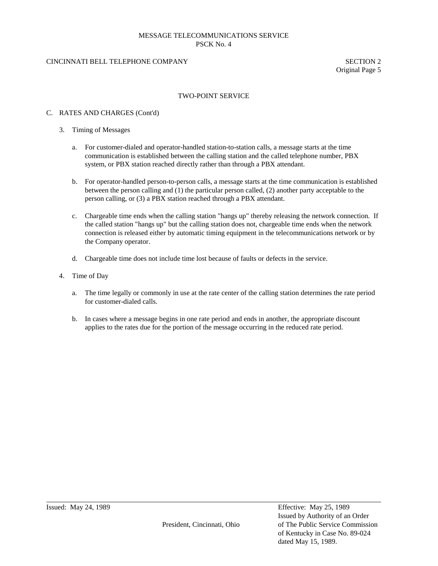# CINCINNATI BELL TELEPHONE COMPANY SECTION 2

Original Page 5

# TWO-POINT SERVICE

#### C. RATES AND CHARGES (Cont'd)

- 3. Timing of Messages
	- a. For customer-dialed and operator-handled station-to-station calls, a message starts at the time communication is established between the calling station and the called telephone number, PBX system, or PBX station reached directly rather than through a PBX attendant.
	- b. For operator-handled person-to-person calls, a message starts at the time communication is established between the person calling and (1) the particular person called, (2) another party acceptable to the person calling, or (3) a PBX station reached through a PBX attendant.
	- c. Chargeable time ends when the calling station "hangs up" thereby releasing the network connection. If the called station "hangs up" but the calling station does not, chargeable time ends when the network connection is released either by automatic timing equipment in the telecommunications network or by the Company operator.
	- d. Chargeable time does not include time lost because of faults or defects in the service.
- 4. Time of Day
	- a. The time legally or commonly in use at the rate center of the calling station determines the rate period for customer-dialed calls.
	- b. In cases where a message begins in one rate period and ends in another, the appropriate discount applies to the rates due for the portion of the message occurring in the reduced rate period.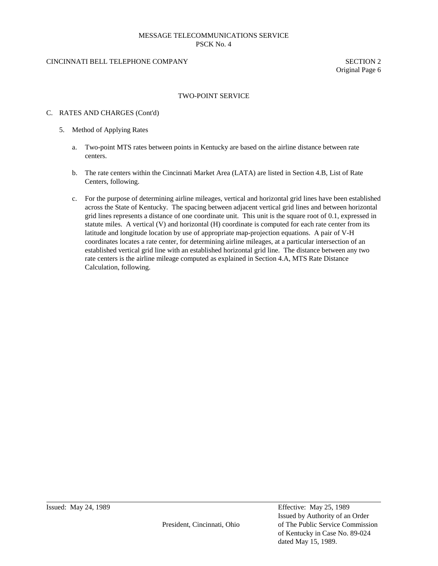# CINCINNATI BELL TELEPHONE COMPANY SECTION 2

Original Page 6

#### TWO-POINT SERVICE

#### C. RATES AND CHARGES (Cont'd)

- 5. Method of Applying Rates
	- a. Two-point MTS rates between points in Kentucky are based on the airline distance between rate centers.
	- b. The rate centers within the Cincinnati Market Area (LATA) are listed in Section 4.B, List of Rate Centers, following.
	- c. For the purpose of determining airline mileages, vertical and horizontal grid lines have been established across the State of Kentucky. The spacing between adjacent vertical grid lines and between horizontal grid lines represents a distance of one coordinate unit. This unit is the square root of 0.1, expressed in statute miles. A vertical (V) and horizontal (H) coordinate is computed for each rate center from its latitude and longitude location by use of appropriate map-projection equations. A pair of V-H coordinates locates a rate center, for determining airline mileages, at a particular intersection of an established vertical grid line with an established horizontal grid line. The distance between any two rate centers is the airline mileage computed as explained in Section 4.A, MTS Rate Distance Calculation, following.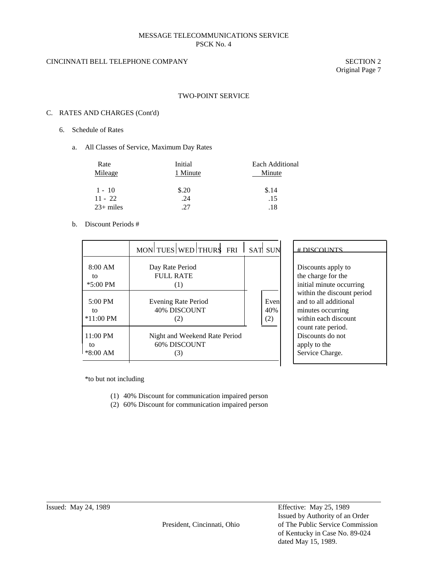# CINCINNATI BELL TELEPHONE COMPANY SECTION 2

Original Page 7

#### TWO-POINT SERVICE

# C. RATES AND CHARGES (Cont'd)

- 6. Schedule of Rates
	- a. All Classes of Service, Maximum Day Rates

| Rate<br>Mileage | Initial<br>1 Minute | Each Additional<br>Minute |
|-----------------|---------------------|---------------------------|
| $1 - 10$        | \$.20               | \$.14                     |
| $11 - 22$       | .24                 | .15                       |
| $23+$ miles     | 27                  | .18                       |

b. Discount Periods #

|                                        | MON TUES WED THURS FRI SAT SUN                       |                    |
|----------------------------------------|------------------------------------------------------|--------------------|
| 8:00 AM<br>tΩ<br>$*5:00$ PM            | Day Rate Period<br>FULL RATE<br>(1)                  |                    |
| $5:00 \text{ PM}$<br>to<br>$*11:00$ PM | Evening Rate Period<br><b>40% DISCOUNT</b><br>(2)    | Even<br>40%<br>(2) |
| $11:00$ PM<br>to<br>$*8:00 AM$         | Night and Weekend Rate Period<br>60% DISCOUNT<br>(3) |                    |

# DISCOUNTS

Discounts apply to the charge for the initial minute occurring within the discount period and to all additional minutes occurring within each discount count rate period. Discounts do not apply to the Service Charge.

\*to but not including

- (1) 40% Discount for communication impaired person
- (2) 60% Discount for communication impaired person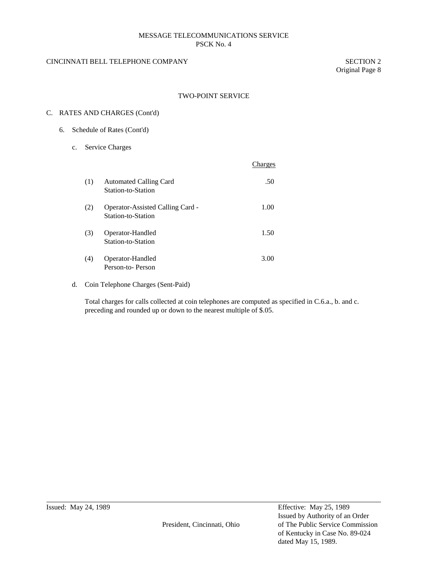# CINCINNATI BELL TELEPHONE COMPANY SECTION 2

Original Page 8

# TWO-POINT SERVICE

# C. RATES AND CHARGES (Cont'd)

- 6. Schedule of Rates (Cont'd)
	- c. Service Charges

|     |                                                        | Charges |
|-----|--------------------------------------------------------|---------|
| (1) | <b>Automated Calling Card</b><br>Station-to-Station    | .50     |
| (2) | Operator-Assisted Calling Card -<br>Station-to-Station | 1.00    |
| (3) | Operator-Handled<br>Station-to-Station                 | 1.50    |
| (4) | Operator-Handled<br>Person-to-Person                   | 3.00    |

d. Coin Telephone Charges (Sent-Paid)

Total charges for calls collected at coin telephones are computed as specified in C.6.a., b. and c. preceding and rounded up or down to the nearest multiple of \$.05.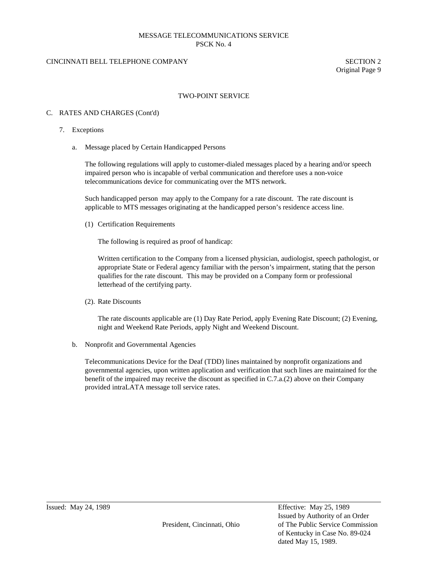# CINCINNATI BELL TELEPHONE COMPANY SECTION 2

Original Page 9

#### TWO-POINT SERVICE

#### C. RATES AND CHARGES (Cont'd)

- 7. Exceptions
	- a. Message placed by Certain Handicapped Persons

The following regulations will apply to customer-dialed messages placed by a hearing and/or speech impaired person who is incapable of verbal communication and therefore uses a non-voice telecommunications device for communicating over the MTS network.

Such handicapped person may apply to the Company for a rate discount. The rate discount is applicable to MTS messages originating at the handicapped person's residence access line.

(1) Certification Requirements

The following is required as proof of handicap:

Written certification to the Company from a licensed physician, audiologist, speech pathologist, or appropriate State or Federal agency familiar with the person's impairment, stating that the person qualifies for the rate discount. This may be provided on a Company form or professional letterhead of the certifying party.

(2). Rate Discounts

The rate discounts applicable are (1) Day Rate Period, apply Evening Rate Discount; (2) Evening, night and Weekend Rate Periods, apply Night and Weekend Discount.

b. Nonprofit and Governmental Agencies

Telecommunications Device for the Deaf (TDD) lines maintained by nonprofit organizations and governmental agencies, upon written application and verification that such lines are maintained for the benefit of the impaired may receive the discount as specified in C.7.a.(2) above on their Company provided intraLATA message toll service rates.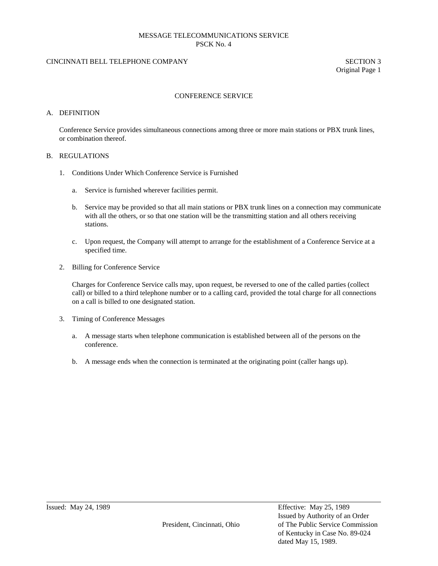# CINCINNATI BELL TELEPHONE COMPANY SECTION 3

Original Page 1

#### CONFERENCE SERVICE

#### A. DEFINITION

Conference Service provides simultaneous connections among three or more main stations or PBX trunk lines, or combination thereof.

#### B. REGULATIONS

- 1. Conditions Under Which Conference Service is Furnished
	- a. Service is furnished wherever facilities permit.
	- b. Service may be provided so that all main stations or PBX trunk lines on a connection may communicate with all the others, or so that one station will be the transmitting station and all others receiving stations.
	- c. Upon request, the Company will attempt to arrange for the establishment of a Conference Service at a specified time.
- 2. Billing for Conference Service

Charges for Conference Service calls may, upon request, be reversed to one of the called parties (collect call) or billed to a third telephone number or to a calling card, provided the total charge for all connections on a call is billed to one designated station.

- 3. Timing of Conference Messages
	- a. A message starts when telephone communication is established between all of the persons on the conference.
	- b. A message ends when the connection is terminated at the originating point (caller hangs up).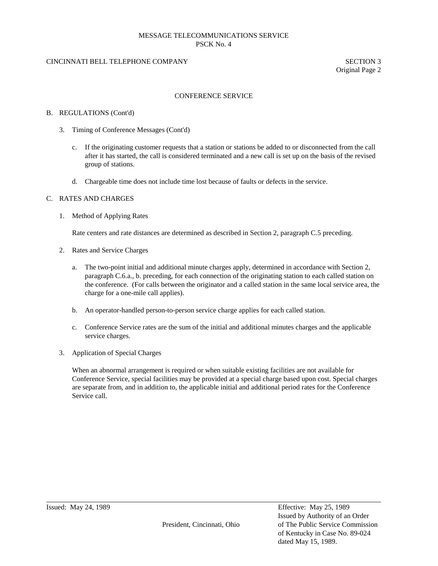# CINCINNATI BELL TELEPHONE COMPANY SECTION 3

Original Page 2

#### CONFERENCE SERVICE

#### B. REGULATIONS (Cont'd)

- 3. Timing of Conference Messages (Cont'd)
	- c. If the originating customer requests that a station or stations be added to or disconnected from the call after it has started, the call is considered terminated and a new call is set up on the basis of the revised group of stations.
	- d. Chargeable time does not include time lost because of faults or defects in the service.

#### C. RATES AND CHARGES

1. Method of Applying Rates

Rate centers and rate distances are determined as described in Section 2, paragraph C.5 preceding.

- 2. Rates and Service Charges
	- a. The two-point initial and additional minute charges apply, determined in accordance with Section 2, paragraph C.6.a., b. preceding, for each connection of the originating station to each called station on the conference. (For calls between the originator and a called station in the same local service area, the charge for a one-mile call applies).
	- b. An operator-handled person-to-person service charge applies for each called station.
	- c. Conference Service rates are the sum of the initial and additional minutes charges and the applicable service charges.
- 3. Application of Special Charges

When an abnormal arrangement is required or when suitable existing facilities are not available for Conference Service, special facilities may be provided at a special charge based upon cost. Special charges are separate from, and in addition to, the applicable initial and additional period rates for the Conference Service call.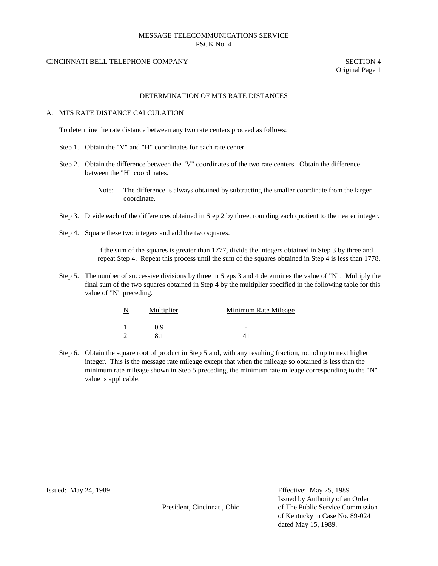#### CINCINNATI BELL TELEPHONE COMPANY SECTION 4

Original Page 1

#### DETERMINATION OF MTS RATE DISTANCES

#### A. MTS RATE DISTANCE CALCULATION

To determine the rate distance between any two rate centers proceed as follows:

- Step 1. Obtain the "V" and "H" coordinates for each rate center.
- Step 2. Obtain the difference between the "V" coordinates of the two rate centers. Obtain the difference between the "H" coordinates.
	- Note: The difference is always obtained by subtracting the smaller coordinate from the larger coordinate.
- Step 3. Divide each of the differences obtained in Step 2 by three, rounding each quotient to the nearer integer.
- Step 4. Square these two integers and add the two squares.

If the sum of the squares is greater than 1777, divide the integers obtained in Step 3 by three and repeat Step 4. Repeat this process until the sum of the squares obtained in Step 4 is less than 1778.

Step 5. The number of successive divisions by three in Steps 3 and 4 determines the value of "N". Multiply the final sum of the two squares obtained in Step 4 by the multiplier specified in the following table for this value of "N" preceding.

| N<br>Multiplier |    | Minimum Rate Mileage |
|-----------------|----|----------------------|
|                 | 09 |                      |
| 2               |    |                      |

Step 6. Obtain the square root of product in Step 5 and, with any resulting fraction, round up to next higher integer. This is the message rate mileage except that when the mileage so obtained is less than the minimum rate mileage shown in Step 5 preceding, the minimum rate mileage corresponding to the "N" value is applicable.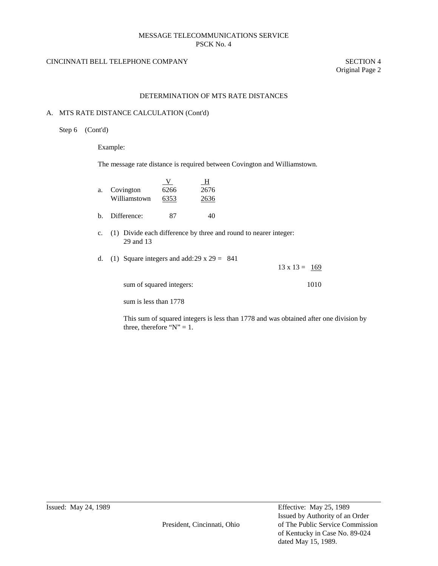# CINCINNATI BELL TELEPHONE COMPANY SECTION 4

Original Page 2

#### DETERMINATION OF MTS RATE DISTANCES

#### A. MTS RATE DISTANCE CALCULATION (Cont'd)

Step 6 (Cont'd)

Example:

The message rate distance is required between Covington and Williamstown.

| a. | Covington<br>Williamstown | 6266<br>6353 | н<br>2676<br>2636 |
|----|---------------------------|--------------|-------------------|
|    | Difference:               |              |                   |

c. (1) Divide each difference by three and round to nearer integer: 29 and 13

d. (1) Square integers and add:  $29 \times 29 = 841$ 13 x 13 =  $169$ 

| sum of squared integers: | 1010 |
|--------------------------|------|
|                          |      |

sum is less than 1778

This sum of squared integers is less than 1778 and was obtained after one division by three, therefore " $N$ " = 1.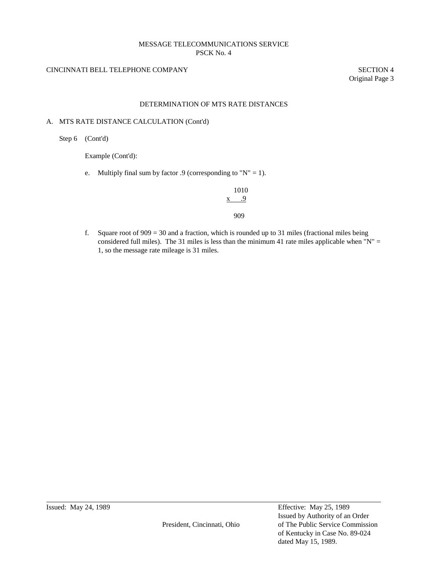# CINCINNATI BELL TELEPHONE COMPANY SECTION 4

Original Page 3

# DETERMINATION OF MTS RATE DISTANCES

#### A. MTS RATE DISTANCE CALCULATION (Cont'd)

Step 6 (Cont'd)

Example (Cont'd):

e. Multiply final sum by factor .9 (corresponding to " $N$ " = 1).

# 1010 x .9 909

f. Square root of  $909 = 30$  and a fraction, which is rounded up to 31 miles (fractional miles being considered full miles). The 31 miles is less than the minimum 41 rate miles applicable when " $N'' =$ 1, so the message rate mileage is 31 miles.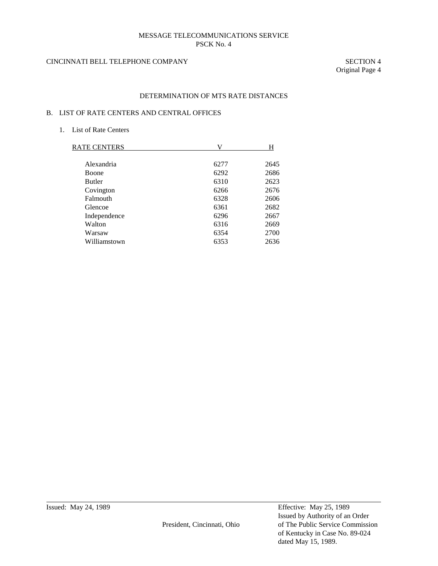# CINCINNATI BELL TELEPHONE COMPANY SECTION 4

Original Page 4

# DETERMINATION OF MTS RATE DISTANCES

# B. LIST OF RATE CENTERS AND CENTRAL OFFICES

1. List of Rate Centers

| RATE CENTERS  | V    | н    |
|---------------|------|------|
|               |      |      |
| Alexandria    | 6277 | 2645 |
| <b>Boone</b>  | 6292 | 2686 |
| <b>Butler</b> | 6310 | 2623 |
| Covington     | 6266 | 2676 |
| Falmouth      | 6328 | 2606 |
| Glencoe       | 6361 | 2682 |
| Independence  | 6296 | 2667 |
| Walton        | 6316 | 2669 |
| Warsaw        | 6354 | 2700 |
| Williamstown  | 6353 | 2636 |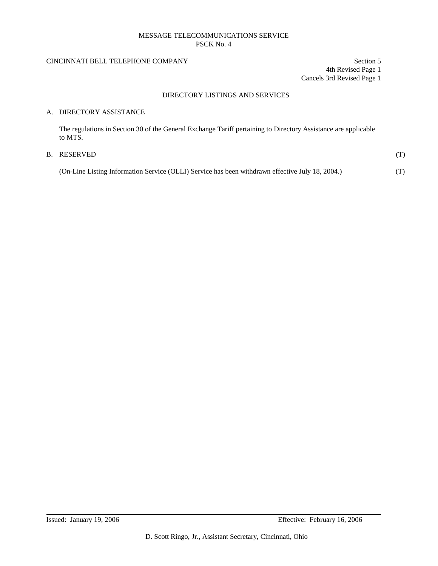# CINCINNATI BELL TELEPHONE COMPANY Section 5

4th Revised Page 1 Cancels 3rd Revised Page 1

# DIRECTORY LISTINGS AND SERVICES

# A. DIRECTORY ASSISTANCE

The regulations in Section 30 of the General Exchange Tariff pertaining to Directory Assistance are applicable to MTS.

# B. RESERVED  $(T)$

| (On-Line Listing Information Service (OLLI) Service has been withdrawn effective July 18, 2004.) | (T) |
|--------------------------------------------------------------------------------------------------|-----|
|                                                                                                  |     |
|                                                                                                  |     |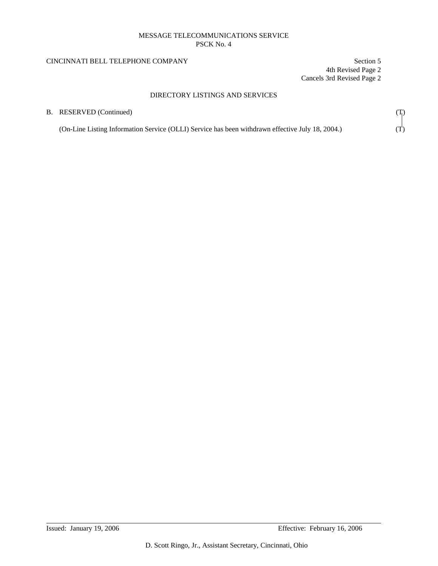# CINCINNATI BELL TELEPHONE COMPANY Section 5

4th Revised Page 2 Cancels 3rd Revised Page 2

# DIRECTORY LISTINGS AND SERVICES

| B. RESERVED (Continued)                                                                          | $\mathcal{T}_1$ |  |
|--------------------------------------------------------------------------------------------------|-----------------|--|
| (On-Line Listing Information Service (OLLI) Service has been withdrawn effective July 18, 2004.) |                 |  |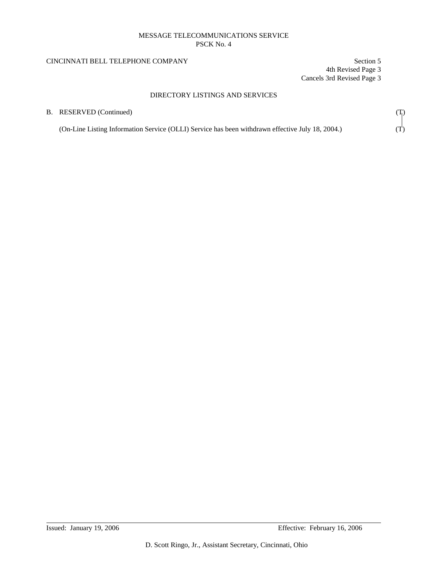# CINCINNATI BELL TELEPHONE COMPANY Section 5

4th Revised Page 3 Cancels 3rd Revised Page 3

# DIRECTORY LISTINGS AND SERVICES

| B. RESERVED (Continued)                                                                          |  |
|--------------------------------------------------------------------------------------------------|--|
| (On-Line Listing Information Service (OLLI) Service has been withdrawn effective July 18, 2004.) |  |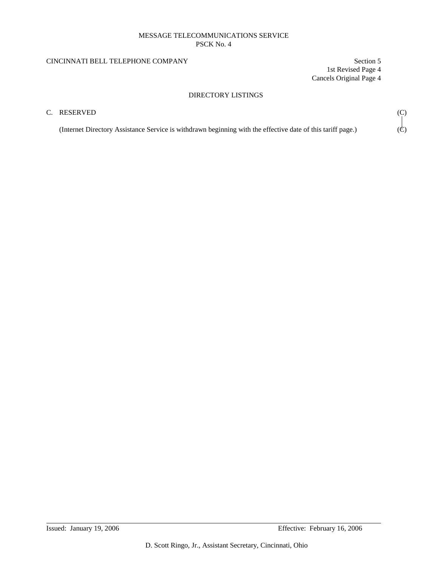# CINCINNATI BELL TELEPHONE COMPANY Section 5

1st Revised Page 4 Cancels Original Page 4

# DIRECTORY LISTINGS

# C. RESERVED (C)

(Internet Directory Assistance Service is withdrawn beginning with the effective date of this tariff page.)  $(\dot{C})$